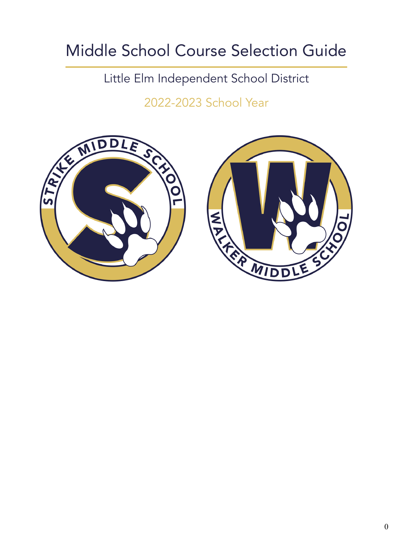# Middle School Course Selection Guide

Little Elm Independent School District

2022-2023 School Year



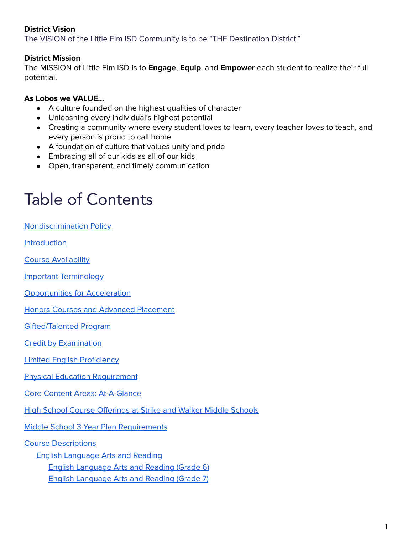#### **District Vision**

The VISION of the Little Elm ISD Community is to be "THE Destination District."

#### **District Mission**

The MISSION of Little Elm ISD is to **Engage**, **Equip**, and **Empower** each student to realize their full potential.

#### **As Lobos we VALUE…**

- A culture founded on the highest qualities of character
- Unleashing every individual's highest potential
- Creating a community where every student loves to learn, every teacher loves to teach, and every person is proud to call home
- A foundation of culture that values unity and pride
- Embracing all of our kids as all of our kids
- Open, transparent, and timely communication

# Table of Contents

[Nondiscrimination](#page-3-0) Policy

[Introduction](#page-4-0)

Course [Availability](#page-4-1)

Important [Terminology](#page-4-2)

[Opportunities](#page-4-3) for Acceleration

Honors Courses and Advanced Placement

[Gifted/Talented](#page-5-0) Program

Credit by [Examination](#page-5-1)

Limited English [Proficiency](#page-5-2)

Physical Education [Requirement](#page-5-3)

Core Content Areas: [At-A-Glance](#page-6-0)

High School Course [Offerings](#page-7-0) at Strike and Walker Middle Schools

Middle School 3 Year Plan [Requirements](#page-7-1)

Course [Descriptions](#page-8-0)

English [Language](#page-8-1) Arts and Reading

English [Language](#page-8-2) Arts and Reading (Grade 6)

English [Language](#page-9-0) Arts and Reading (Grade 7)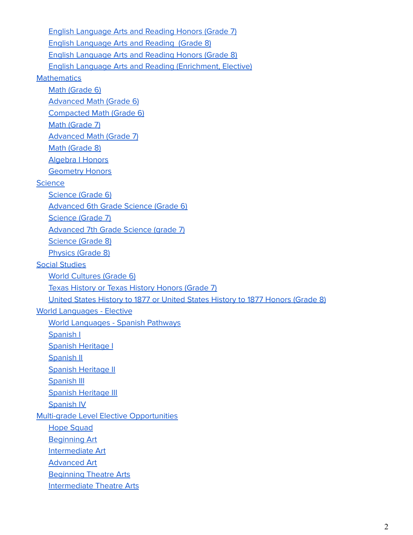English [Language](#page-9-1) Arts and Reading Honors (Grade 7) English [Language](#page-9-2) Arts and Reading (Grade 8) English [Language](#page-9-3) Arts and Reading Honors (Grade 8) English Language Arts and Reading [\(Enrichment,](#page-9-4) Elective) **[Mathematics](#page-10-0)** Math [\(Grade](#page-10-1) 6) [Advanced](#page-11-0) Math (Grade 6) [Compacted](#page-11-1) Math (Grade 6) Math [\(Grade](#page-11-2) 7) [Advanced](#page-11-3) Math (Grade 7) Math [\(Grade](#page-11-4) 8) [Algebra](#page-11-5) I Honors [Geometry](#page-12-0) Honors **[Science](#page-12-1)** [Science](#page-12-2) (Grade 6) [Advanced](#page-13-0) 6th Grade Science (Grade 6) [Science](#page-13-1) (Grade 7) [Advanced](#page-13-2) 7th Grade Science (grade 7) [Science](#page-13-3) (Grade 8) [Physics](#page-14-0) (Grade 8) Social [Studies](#page-14-1) World [Cultures](#page-14-2) (Grade 6) Texas History or Texas History [Honors](#page-15-0) (Grade 7) United States History to 1877 or United States History to 1877 [Honors](#page-15-1) (Grade 8) World [Languages](#page-15-2) - Elective World [Languages](#page-15-3) - Spanish Pathways [Spanish](#page-16-0) I Spanish [Heritage](#page-16-1) I [Spanish](#page-16-2) II Spanish [Heritage](#page-16-3) II [Spanish](#page-17-0) III **Spanish [Heritage](#page-17-1) III** [Spanish](#page-17-2) IV Multi-grade Level Elective [Opportunities](#page-17-3) Hope [Squad](#page-17-4) [Beginning](#page-18-0) Art [Intermediate](#page-18-1) Art [Advanced](#page-18-2) Art [Beginning](#page-18-3) Theatre Arts [Intermediate](#page-18-4) Theatre Arts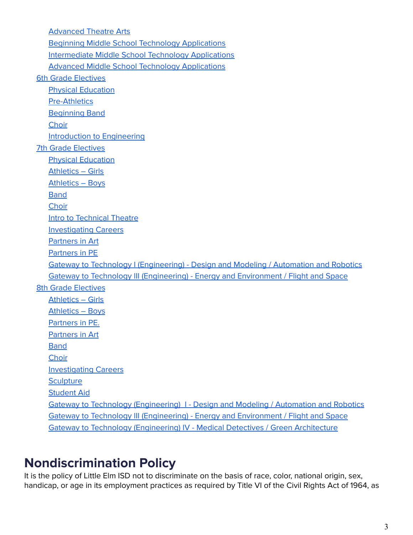[Advanced](#page-18-5) Theatre Arts Beginning Middle School Technology [Applications](#page-19-0) [Intermediate](#page-19-1) Middle School Technology Applications Advanced Middle School Technology [Applications](#page-19-2) 6th Grade [Electives](#page-19-3) Physical [Education](#page-19-4) [Pre-Athletics](#page-19-5) [Beginning](#page-19-6) Band **[Choir](#page-20-0)** Introduction to [Engineering](#page-20-1) 7th Grade [Electives](#page-20-2) Physical [Education](#page-20-3) [Athletics](#page-20-4) – Girls [Athletics](#page-20-5) – Boys [Band](#page-21-0) **[Choir](#page-21-1)** Intro to [Technical](#page-21-2) Theatre Investigating Careers [Partners](#page-21-3) in Art [Partners](#page-22-0) in PE Gateway to Technology I [\(Engineering\)](#page-22-1) - Design and Modeling / Automation and Robotics Gateway to Technology III [\(Engineering\)](#page-22-2) - Energy and Environment / Flight and Space 8th Grade [Electives](#page-22-3) [Athletics](#page-22-4) – Girls [Athletics](#page-23-0) – Boys [Partners](#page-23-1) in PE. [Partners](#page-23-2) in Art [Band](#page-23-3) **[Choir](#page-23-4)** [Investigating](#page-24-0) Careers **[Sculpture](#page-24-1)** [Student](#page-24-2) Aid Gateway to Technology [\(Engineering\)](#page-24-3) I - Design and Modeling / Automation and Robotics Gateway to Technology III [\(Engineering\)](#page-24-4) - Energy and Environment / Flight and Space Gateway to Technology [\(Engineering\)](#page-24-5) IV - Medical Detectives / Green Architecture

# <span id="page-3-0"></span>**Nondiscrimination Policy**

It is the policy of Little Elm ISD not to discriminate on the basis of race, color, national origin, sex, handicap, or age in its employment practices as required by Title VI of the Civil Rights Act of 1964, as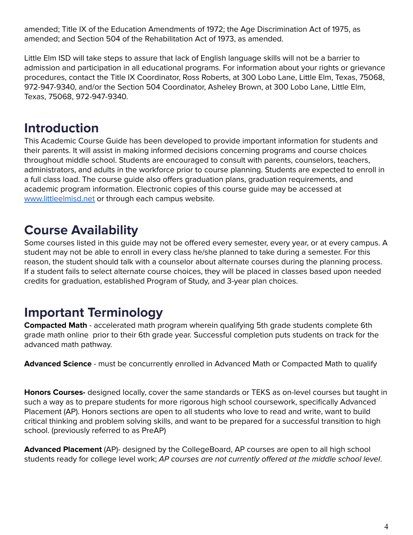amended; Title IX of the Education Amendments of 1972; the Age Discrimination Act of 1975, as amended; and Section 504 of the Rehabilitation Act of 1973, as amended.

Little Elm ISD will take steps to assure that lack of English language skills will not be a barrier to admission and participation in all educational programs. For information about your rights or grievance procedures, contact the Title IX Coordinator, Ross Roberts, at 300 Lobo Lane, Little Elm, Texas, 75068, 972-947-9340, and/or the Section 504 Coordinator, Asheley Brown, at 300 Lobo Lane, Little Elm, Texas, 75068, 972-947-9340.

# <span id="page-4-0"></span>**Introduction**

This Academic Course Guide has been developed to provide important information for students and their parents. It will assist in making informed decisions concerning programs and course choices throughout middle school. Students are encouraged to consult with parents, counselors, teachers, administrators, and adults in the workforce prior to course planning. Students are expected to enroll in a full class load. The course guide also offers graduation plans, graduation requirements, and academic program information. Electronic copies of this course guide may be accessed at [www.littleelmisd.net](http://www.leisd.ws/) or through each campus website.

# <span id="page-4-1"></span>**Course Availability**

Some courses listed in this guide may not be offered every semester, every year, or at every campus. A student may not be able to enroll in every class he/she planned to take during a semester. For this reason, the student should talk with a counselor about alternate courses during the planning process. If a student fails to select alternate course choices, they will be placed in classes based upon needed credits for graduation, established Program of Study, and 3-year plan choices.

# <span id="page-4-2"></span>**Important Terminology**

**Compacted Math** - accelerated math program wherein qualifying 5th grade students complete 6th grade math online prior to their 6th grade year. Successful completion puts students on track for the advanced math pathway.

**Advanced Science** - must be concurrently enrolled in Advanced Math or Compacted Math to qualify

**Honors Courses-** designed locally, cover the same standards or TEKS as on-level courses but taught in such a way as to prepare students for more rigorous high school coursework, specifically Advanced Placement (AP). Honors sections are open to all students who love to read and write, want to build critical thinking and problem solving skills, and want to be prepared for a successful transition to high school. (previously referred to as PreAP)

<span id="page-4-3"></span>**Advanced Placement** (AP)- designed by the CollegeBoard, AP courses are open to all high school students ready for college level work; AP courses are not currently offered at the middle school level.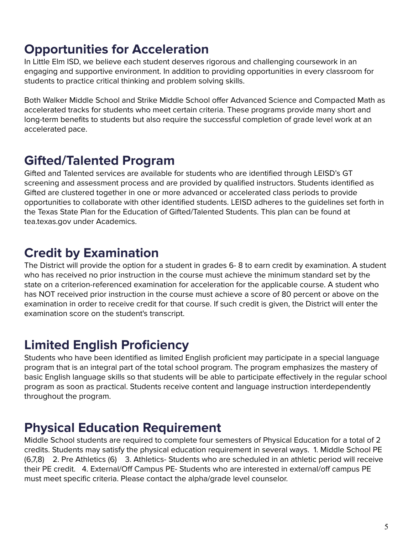# **Opportunities for Acceleration**

In Little Elm ISD, we believe each student deserves rigorous and challenging coursework in an engaging and supportive environment. In addition to providing opportunities in every classroom for students to practice critical thinking and problem solving skills.

Both Walker Middle School and Strike Middle School offer Advanced Science and Compacted Math as accelerated tracks for students who meet certain criteria. These programs provide many short and long-term benefits to students but also require the successful completion of grade level work at an accelerated pace.

# <span id="page-5-0"></span>**Gifted/Talented Program**

Gifted and Talented services are available for students who are identified through LEISD's GT screening and assessment process and are provided by qualified instructors. Students identified as Gifted are clustered together in one or more advanced or accelerated class periods to provide opportunities to collaborate with other identified students. LEISD adheres to the guidelines set forth in the Texas State Plan for the Education of Gifted/Talented Students. This plan can be found at tea.texas.gov under Academics.

# <span id="page-5-1"></span>**Credit by Examination**

The District will provide the option for a student in grades 6- 8 to earn credit by examination. A student who has received no prior instruction in the course must achieve the minimum standard set by the state on a criterion-referenced examination for acceleration for the applicable course. A student who has NOT received prior instruction in the course must achieve a score of 80 percent or above on the examination in order to receive credit for that course. If such credit is given, the District will enter the examination score on the student's transcript.

# <span id="page-5-2"></span>**Limited English Proficiency**

Students who have been identified as limited English proficient may participate in a special language program that is an integral part of the total school program. The program emphasizes the mastery of basic English language skills so that students will be able to participate effectively in the regular school program as soon as practical. Students receive content and language instruction interdependently throughout the program.

# <span id="page-5-3"></span>**Physical Education Requirement**

Middle School students are required to complete four semesters of Physical Education for a total of 2 credits. Students may satisfy the physical education requirement in several ways. 1. Middle School PE (6,7,8) 2. Pre Athletics (6) 3. Athletics- Students who are scheduled in an athletic period will receive their PE credit. 4. External/Off Campus PE- Students who are interested in external/off campus PE must meet specific criteria. Please contact the alpha/grade level counselor.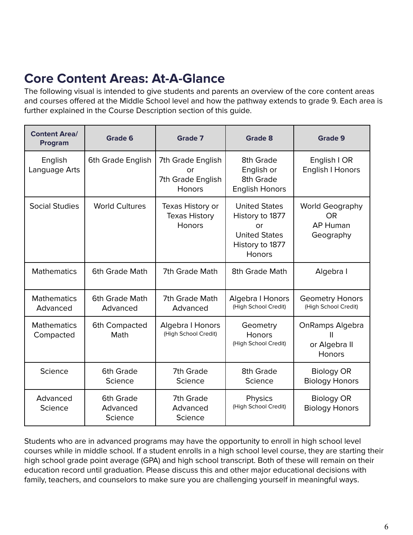# <span id="page-6-0"></span>**Core Content Areas: At-A-Glance**

The following visual is intended to give students and parents an overview of the core content areas and courses offered at the Middle School level and how the pathway extends to grade 9. Each area is further explained in the Course Description section of this guide.

| <b>Content Area/</b><br>Program | <b>Grade 6</b>                   | <b>Grade 7</b>                                            | <b>Grade 8</b>                                                                                     | <b>Grade 9</b>                                               |
|---------------------------------|----------------------------------|-----------------------------------------------------------|----------------------------------------------------------------------------------------------------|--------------------------------------------------------------|
| English<br>Language Arts        | 6th Grade English                | 7th Grade English<br>or<br>7th Grade English<br>Honors    | 8th Grade<br>English or<br>8th Grade<br><b>English Honors</b>                                      | English I OR<br>English I Honors                             |
| <b>Social Studies</b>           | <b>World Cultures</b>            | Texas History or<br><b>Texas History</b><br><b>Honors</b> | <b>United States</b><br>History to 1877<br>or<br><b>United States</b><br>History to 1877<br>Honors | World Geography<br><b>OR</b><br><b>AP Human</b><br>Geography |
| <b>Mathematics</b>              | 6th Grade Math                   | 7th Grade Math                                            | 8th Grade Math                                                                                     | Algebra I                                                    |
| <b>Mathematics</b><br>Advanced  | 6th Grade Math<br>Advanced       | 7th Grade Math<br>Advanced                                | Algebra I Honors<br>(High School Credit)                                                           | <b>Geometry Honors</b><br>(High School Credit)               |
| <b>Mathematics</b><br>Compacted | 6th Compacted<br>Math            | Algebra I Honors<br>(High School Credit)                  | Geometry<br>Honors<br>(High School Credit)                                                         | OnRamps Algebra<br>or Algebra II<br>Honors                   |
| Science                         | 6th Grade<br>Science             | 7th Grade<br>Science                                      | 8th Grade<br>Science                                                                               | <b>Biology OR</b><br><b>Biology Honors</b>                   |
| Advanced<br>Science             | 6th Grade<br>Advanced<br>Science | 7th Grade<br>Advanced<br>Science                          | Physics<br>(High School Credit)                                                                    | <b>Biology OR</b><br><b>Biology Honors</b>                   |

Students who are in advanced programs may have the opportunity to enroll in high school level courses while in middle school. If a student enrolls in a high school level course, they are starting their high school grade point average (GPA) and high school transcript. Both of these will remain on their education record until graduation. Please discuss this and other major educational decisions with family, teachers, and counselors to make sure you are challenging yourself in meaningful ways.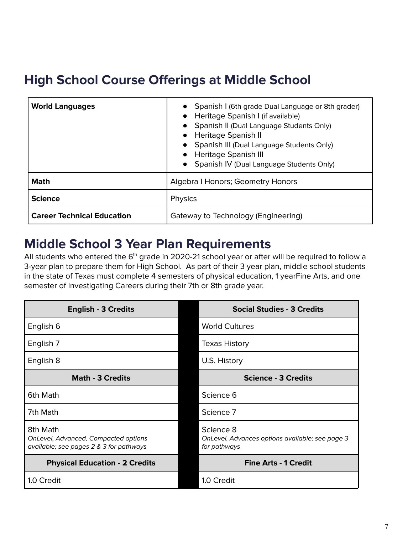# <span id="page-7-0"></span>**High School Course Offerings at Middle School**

| <b>World Languages</b>            | Spanish I (6th grade Dual Language or 8th grader)<br>Heritage Spanish I (if available)<br>Spanish II (Dual Language Students Only)<br>Heritage Spanish II<br>Spanish III (Dual Language Students Only)<br>Heritage Spanish III<br>Spanish IV (Dual Language Students Only) |  |
|-----------------------------------|----------------------------------------------------------------------------------------------------------------------------------------------------------------------------------------------------------------------------------------------------------------------------|--|
| <b>Math</b>                       | <b>Algebra I Honors; Geometry Honors</b>                                                                                                                                                                                                                                   |  |
| <b>Science</b>                    | <b>Physics</b>                                                                                                                                                                                                                                                             |  |
| <b>Career Technical Education</b> | Gateway to Technology (Engineering)                                                                                                                                                                                                                                        |  |

# <span id="page-7-1"></span>**Middle School 3 Year Plan Requirements**

All students who entered the  $6<sup>th</sup>$  grade in 2020-21 school year or after will be required to follow a 3-year plan to prepare them for High School. As part of their 3 year plan, middle school students in the state of Texas must complete 4 semesters of physical education, 1 yearFine Arts, and one semester of Investigating Careers during their 7th or 8th grade year.

| <b>English - 3 Credits</b>                                                                         | <b>Social Studies - 3 Credits</b>                                            |
|----------------------------------------------------------------------------------------------------|------------------------------------------------------------------------------|
| English 6                                                                                          | <b>World Cultures</b>                                                        |
| English 7                                                                                          | <b>Texas History</b>                                                         |
| English 8                                                                                          | U.S. History                                                                 |
| <b>Math - 3 Credits</b>                                                                            | <b>Science - 3 Credits</b>                                                   |
| 6th Math                                                                                           | Science 6                                                                    |
| 7th Math                                                                                           | Science 7                                                                    |
| 8th Math<br><b>OnLevel, Advanced, Compacted options</b><br>available; see pages 2 & 3 for pathways | Science 8<br>OnLevel, Advances options available; see page 3<br>for pathways |
| <b>Physical Education - 2 Credits</b>                                                              | <b>Fine Arts - 1 Credit</b>                                                  |
| 1.0 Credit                                                                                         | 1.0 Credit                                                                   |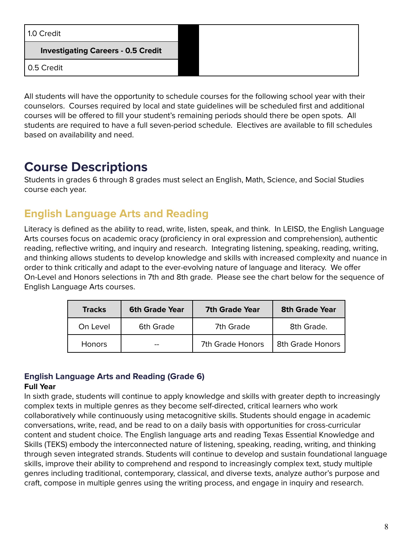| 1.0 Credit                                |
|-------------------------------------------|
| <b>Investigating Careers - 0.5 Credit</b> |
| 0.5 Credit                                |

All students will have the opportunity to schedule courses for the following school year with their counselors. Courses required by local and state guidelines will be scheduled first and additional courses will be offered to fill your student's remaining periods should there be open spots. All students are required to have a full seven-period schedule. Electives are available to fill schedules based on availability and need.

# <span id="page-8-0"></span>**Course Descriptions**

Students in grades 6 through 8 grades must select an English, Math, Science, and Social Studies course each year.

# <span id="page-8-1"></span>**English Language Arts and Reading**

Literacy is defined as the ability to read, write, listen, speak, and think. In LEISD, the English Language Arts courses focus on academic oracy (proficiency in oral expression and comprehension), authentic reading, reflective writing, and inquiry and research. Integrating listening, speaking, reading, writing, and thinking allows students to develop knowledge and skills with increased complexity and nuance in order to think critically and adapt to the ever-evolving nature of language and literacy. We offer On-Level and Honors selections in 7th and 8th grade. Please see the chart below for the sequence of English Language Arts courses.

| <b>Tracks</b> | <b>6th Grade Year</b> | <b>7th Grade Year</b> | <b>8th Grade Year</b> |
|---------------|-----------------------|-----------------------|-----------------------|
| On Level      | 6th Grade             | 7th Grade             | 8th Grade.            |
| <b>Honors</b> | --                    | 7th Grade Honors      | 8th Grade Honors      |

# <span id="page-8-2"></span>**English Language Arts and Reading (Grade 6)**

# **Full Year**

In sixth grade, students will continue to apply knowledge and skills with greater depth to increasingly complex texts in multiple genres as they become self-directed, critical learners who work collaboratively while continuously using metacognitive skills. Students should engage in academic conversations, write, read, and be read to on a daily basis with opportunities for cross-curricular content and student choice. The English language arts and reading Texas Essential Knowledge and Skills (TEKS) embody the interconnected nature of listening, speaking, reading, writing, and thinking through seven integrated strands. Students will continue to develop and sustain foundational language skills, improve their ability to comprehend and respond to increasingly complex text, study multiple genres including traditional, contemporary, classical, and diverse texts, analyze author's purpose and craft, compose in multiple genres using the writing process, and engage in inquiry and research.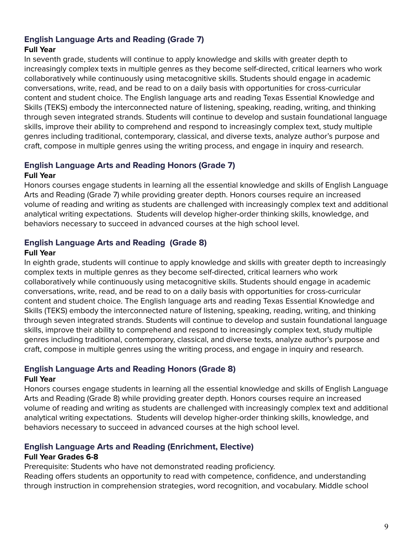# <span id="page-9-0"></span>**English Language Arts and Reading (Grade 7)**

#### **Full Year**

In seventh grade, students will continue to apply knowledge and skills with greater depth to increasingly complex texts in multiple genres as they become self-directed, critical learners who work collaboratively while continuously using metacognitive skills. Students should engage in academic conversations, write, read, and be read to on a daily basis with opportunities for cross-curricular content and student choice. The English language arts and reading Texas Essential Knowledge and Skills (TEKS) embody the interconnected nature of listening, speaking, reading, writing, and thinking through seven integrated strands. Students will continue to develop and sustain foundational language skills, improve their ability to comprehend and respond to increasingly complex text, study multiple genres including traditional, contemporary, classical, and diverse texts, analyze author's purpose and craft, compose in multiple genres using the writing process, and engage in inquiry and research.

# <span id="page-9-1"></span>**English Language Arts and Reading Honors (Grade 7)**

#### **Full Year**

Honors courses engage students in learning all the essential knowledge and skills of English Language Arts and Reading (Grade 7) while providing greater depth. Honors courses require an increased volume of reading and writing as students are challenged with increasingly complex text and additional analytical writing expectations. Students will develop higher-order thinking skills, knowledge, and behaviors necessary to succeed in advanced courses at the high school level.

# <span id="page-9-2"></span>**English Language Arts and Reading (Grade 8)**

#### **Full Year**

In eighth grade, students will continue to apply knowledge and skills with greater depth to increasingly complex texts in multiple genres as they become self-directed, critical learners who work collaboratively while continuously using metacognitive skills. Students should engage in academic conversations, write, read, and be read to on a daily basis with opportunities for cross-curricular content and student choice. The English language arts and reading Texas Essential Knowledge and Skills (TEKS) embody the interconnected nature of listening, speaking, reading, writing, and thinking through seven integrated strands. Students will continue to develop and sustain foundational language skills, improve their ability to comprehend and respond to increasingly complex text, study multiple genres including traditional, contemporary, classical, and diverse texts, analyze author's purpose and craft, compose in multiple genres using the writing process, and engage in inquiry and research.

# <span id="page-9-3"></span>**English Language Arts and Reading Honors (Grade 8)**

### **Full Year**

Honors courses engage students in learning all the essential knowledge and skills of English Language Arts and Reading (Grade 8) while providing greater depth. Honors courses require an increased volume of reading and writing as students are challenged with increasingly complex text and additional analytical writing expectations. Students will develop higher-order thinking skills, knowledge, and behaviors necessary to succeed in advanced courses at the high school level.

# <span id="page-9-4"></span>**English Language Arts and Reading (Enrichment, Elective)**

#### **Full Year Grades 6-8**

Prerequisite: Students who have not demonstrated reading proficiency.

Reading offers students an opportunity to read with competence, confidence, and understanding through instruction in comprehension strategies, word recognition, and vocabulary. Middle school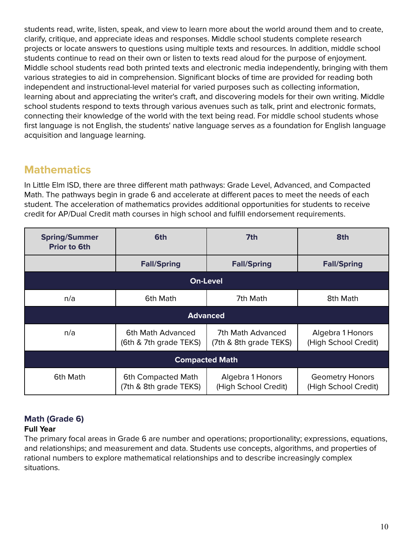students read, write, listen, speak, and view to learn more about the world around them and to create, clarify, critique, and appreciate ideas and responses. Middle school students complete research projects or locate answers to questions using multiple texts and resources. In addition, middle school students continue to read on their own or listen to texts read aloud for the purpose of enjoyment. Middle school students read both printed texts and electronic media independently, bringing with them various strategies to aid in comprehension. Significant blocks of time are provided for reading both independent and instructional-level material for varied purposes such as collecting information, learning about and appreciating the writer's craft, and discovering models for their own writing. Middle school students respond to texts through various avenues such as talk, print and electronic formats, connecting their knowledge of the world with the text being read. For middle school students whose first language is not English, the students' native language serves as a foundation for English language acquisition and language learning.

# <span id="page-10-0"></span>**Mathematics**

In Little Elm ISD, there are three different math pathways: Grade Level, Advanced, and Compacted Math. The pathways begin in grade 6 and accelerate at different paces to meet the needs of each student. The acceleration of mathematics provides additional opportunities for students to receive credit for AP/Dual Credit math courses in high school and fulfill endorsement requirements.

| <b>Spring/Summer</b><br><b>Prior to 6th</b> | 6th                                          | 7th                                         | 8th                                            |  |
|---------------------------------------------|----------------------------------------------|---------------------------------------------|------------------------------------------------|--|
|                                             | <b>Fall/Spring</b>                           | <b>Fall/Spring</b>                          | <b>Fall/Spring</b>                             |  |
| <b>On-Level</b>                             |                                              |                                             |                                                |  |
| n/a                                         | 6th Math                                     | 7th Math                                    | 8th Math                                       |  |
| <b>Advanced</b>                             |                                              |                                             |                                                |  |
| n/a                                         | 6th Math Advanced<br>(6th & 7th grade TEKS)  | 7th Math Advanced<br>(7th & 8th grade TEKS) | Algebra 1 Honors<br>(High School Credit)       |  |
| <b>Compacted Math</b>                       |                                              |                                             |                                                |  |
| 6th Math                                    | 6th Compacted Math<br>(7th & 8th grade TEKS) | Algebra 1 Honors<br>(High School Credit)    | <b>Geometry Honors</b><br>(High School Credit) |  |

# <span id="page-10-1"></span>**Math (Grade 6)**

#### **Full Year**

The primary focal areas in Grade 6 are number and operations; proportionality; expressions, equations, and relationships; and measurement and data. Students use concepts, algorithms, and properties of rational numbers to explore mathematical relationships and to describe increasingly complex situations.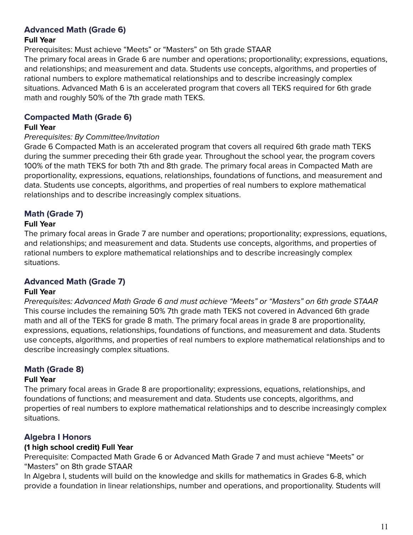### <span id="page-11-0"></span>**Advanced Math (Grade 6)**

#### **Full Year**

Prerequisites: Must achieve "Meets" or "Masters" on 5th grade STAAR

The primary focal areas in Grade 6 are number and operations; proportionality; expressions, equations, and relationships; and measurement and data. Students use concepts, algorithms, and properties of rational numbers to explore mathematical relationships and to describe increasingly complex situations. Advanced Math 6 is an accelerated program that covers all TEKS required for 6th grade math and roughly 50% of the 7th grade math TEKS.

#### <span id="page-11-1"></span>**Compacted Math (Grade 6)**

#### **Full Year**

#### Prerequisites: By Committee/Invitation

Grade 6 Compacted Math is an accelerated program that covers all required 6th grade math TEKS during the summer preceding their 6th grade year. Throughout the school year, the program covers 100% of the math TEKS for both 7th and 8th grade. The primary focal areas in Compacted Math are proportionality, expressions, equations, relationships, foundations of functions, and measurement and data. Students use concepts, algorithms, and properties of real numbers to explore mathematical relationships and to describe increasingly complex situations.

# <span id="page-11-2"></span>**Math (Grade 7)**

#### **Full Year**

The primary focal areas in Grade 7 are number and operations; proportionality; expressions, equations, and relationships; and measurement and data. Students use concepts, algorithms, and properties of rational numbers to explore mathematical relationships and to describe increasingly complex situations.

#### <span id="page-11-3"></span>**Advanced Math (Grade 7)**

#### **Full Year**

Prerequisites: Advanced Math Grade 6 and must achieve "Meets" or "Masters" on 6th grade STAAR This course includes the remaining 50% 7th grade math TEKS not covered in Advanced 6th grade math and all of the TEKS for grade 8 math. The primary focal areas in grade 8 are proportionality, expressions, equations, relationships, foundations of functions, and measurement and data. Students use concepts, algorithms, and properties of real numbers to explore mathematical relationships and to describe increasingly complex situations.

#### <span id="page-11-4"></span>**Math (Grade 8)**

#### **Full Year**

The primary focal areas in Grade 8 are proportionality; expressions, equations, relationships, and foundations of functions; and measurement and data. Students use concepts, algorithms, and properties of real numbers to explore mathematical relationships and to describe increasingly complex situations.

#### <span id="page-11-5"></span>**Algebra I Honors**

#### **(1 high school credit) Full Year**

Prerequisite: Compacted Math Grade 6 or Advanced Math Grade 7 and must achieve "Meets" or "Masters" on 8th grade STAAR

In Algebra I, students will build on the knowledge and skills for mathematics in Grades 6-8, which provide a foundation in linear relationships, number and operations, and proportionality. Students will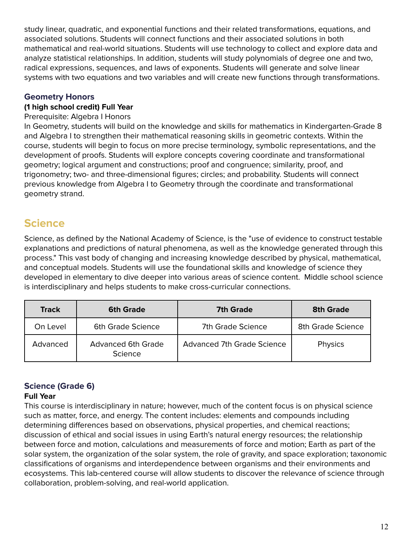study linear, quadratic, and exponential functions and their related transformations, equations, and associated solutions. Students will connect functions and their associated solutions in both mathematical and real-world situations. Students will use technology to collect and explore data and analyze statistical relationships. In addition, students will study polynomials of degree one and two, radical expressions, sequences, and laws of exponents. Students will generate and solve linear systems with two equations and two variables and will create new functions through transformations.

#### <span id="page-12-0"></span>**Geometry Honors**

#### **(1 high school credit) Full Year**

#### Prerequisite: Algebra I Honors

In Geometry, students will build on the knowledge and skills for mathematics in Kindergarten-Grade 8 and Algebra I to strengthen their mathematical reasoning skills in geometric contexts. Within the course, students will begin to focus on more precise terminology, symbolic representations, and the development of proofs. Students will explore concepts covering coordinate and transformational geometry; logical argument and constructions; proof and congruence; similarity, proof, and trigonometry; two- and three-dimensional figures; circles; and probability. Students will connect previous knowledge from Algebra I to Geometry through the coordinate and transformational geometry strand.

# <span id="page-12-1"></span>**Science**

Science, as defined by the National Academy of Science, is the "use of evidence to construct testable explanations and predictions of natural phenomena, as well as the knowledge generated through this process." This vast body of changing and increasing knowledge described by physical, mathematical, and conceptual models. Students will use the foundational skills and knowledge of science they developed in elementary to dive deeper into various areas of science content. Middle school science is interdisciplinary and helps students to make cross-curricular connections.

| <b>Track</b> | <b>6th Grade</b>                            | <b>7th Grade</b>                  | <b>8th Grade</b>  |
|--------------|---------------------------------------------|-----------------------------------|-------------------|
| On Level     | 6th Grade Science                           | 7th Grade Science                 | 8th Grade Science |
| Advanced     | <b>Advanced 6th Grade</b><br><b>Science</b> | <b>Advanced 7th Grade Science</b> | Physics           |

# <span id="page-12-2"></span>**Science (Grade 6)**

#### **Full Year**

This course is interdisciplinary in nature; however, much of the content focus is on physical science such as matter, force, and energy. The content includes: elements and compounds including determining differences based on observations, physical properties, and chemical reactions; discussion of ethical and social issues in using Earth's natural energy resources; the relationship between force and motion, calculations and measurements of force and motion; Earth as part of the solar system, the organization of the solar system, the role of gravity, and space exploration; taxonomic classifications of organisms and interdependence between organisms and their environments and ecosystems. This lab-centered course will allow students to discover the relevance of science through collaboration, problem-solving, and real-world application.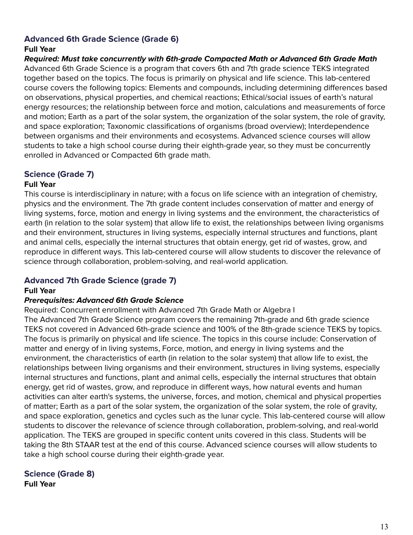# <span id="page-13-0"></span>**Advanced 6th Grade Science (Grade 6)**

#### **Full Year**

**Required: Must take concurrently with 6th-grade Compacted Math or Advanced 6th Grade Math** Advanced 6th Grade Science is a program that covers 6th and 7th grade science TEKS integrated together based on the topics. The focus is primarily on physical and life science. This lab-centered course covers the following topics: Elements and compounds, including determining differences based on observations, physical properties, and chemical reactions; Ethical/social issues of earth's natural energy resources; the relationship between force and motion, calculations and measurements of force and motion; Earth as a part of the solar system, the organization of the solar system, the role of gravity, and space exploration; Taxonomic classifications of organisms (broad overview); Interdependence between organisms and their environments and ecosystems. Advanced science courses will allow students to take a high school course during their eighth-grade year, so they must be concurrently enrolled in Advanced or Compacted 6th grade math.

# <span id="page-13-1"></span>**Science (Grade 7)**

#### **Full Year**

This course is interdisciplinary in nature; with a focus on life science with an integration of chemistry, physics and the environment. The 7th grade content includes conservation of matter and energy of living systems, force, motion and energy in living systems and the environment, the characteristics of earth (in relation to the solar system) that allow life to exist, the relationships between living organisms and their environment, structures in living systems, especially internal structures and functions, plant and animal cells, especially the internal structures that obtain energy, get rid of wastes, grow, and reproduce in different ways. This lab-centered course will allow students to discover the relevance of science through collaboration, problem-solving, and real-world application.

# <span id="page-13-2"></span>**Advanced 7th Grade Science (grade 7)**

#### **Full Year**

#### **Prerequisites: Advanced 6th Grade Science**

Required: Concurrent enrollment with Advanced 7th Grade Math or Algebra I

The Advanced 7th Grade Science program covers the remaining 7th-grade and 6th grade science TEKS not covered in Advanced 6th-grade science and 100% of the 8th-grade science TEKS by topics. The focus is primarily on physical and life science. The topics in this course include: Conservation of matter and energy of in living systems, Force, motion, and energy in living systems and the environment, the characteristics of earth (in relation to the solar system) that allow life to exist, the relationships between living organisms and their environment, structures in living systems, especially internal structures and functions, plant and animal cells, especially the internal structures that obtain energy, get rid of wastes, grow, and reproduce in different ways, how natural events and human activities can alter earth's systems, the universe, forces, and motion, chemical and physical properties of matter; Earth as a part of the solar system, the organization of the solar system, the role of gravity, and space exploration, genetics and cycles such as the lunar cycle. This lab-centered course will allow students to discover the relevance of science through collaboration, problem-solving, and real-world application. The TEKS are grouped in specific content units covered in this class. Students will be taking the 8th STAAR test at the end of this course. Advanced science courses will allow students to take a high school course during their eighth-grade year.

#### <span id="page-13-3"></span>**Science (Grade 8) Full Year**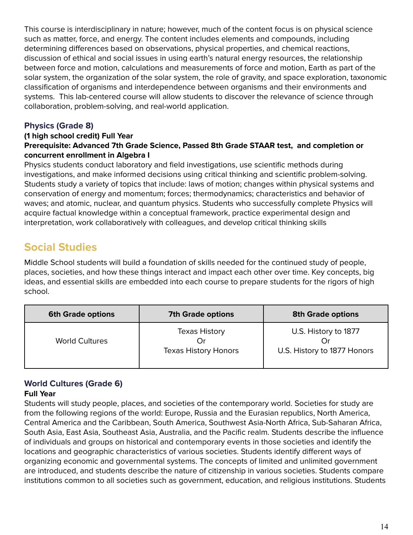This course is interdisciplinary in nature; however, much of the content focus is on physical science such as matter, force, and energy. The content includes elements and compounds, including determining differences based on observations, physical properties, and chemical reactions, discussion of ethical and social issues in using earth's natural energy resources, the relationship between force and motion, calculations and measurements of force and motion, Earth as part of the solar system, the organization of the solar system, the role of gravity, and space exploration, taxonomic classification of organisms and interdependence between organisms and their environments and systems. This lab-centered course will allow students to discover the relevance of science through collaboration, problem-solving, and real-world application.

# <span id="page-14-0"></span>**Physics (Grade 8)**

#### **(1 high school credit) Full Year Prerequisite: Advanced 7th Grade Science, Passed 8th Grade STAAR test, and completion or concurrent enrollment in Algebra I**

Physics students conduct laboratory and field investigations, use scientific methods during investigations, and make informed decisions using critical thinking and scientific problem-solving. Students study a variety of topics that include: laws of motion; changes within physical systems and conservation of energy and momentum; forces; thermodynamics; characteristics and behavior of waves; and atomic, nuclear, and quantum physics. Students who successfully complete Physics will acquire factual knowledge within a conceptual framework, practice experimental design and interpretation, work collaboratively with colleagues, and develop critical thinking skills

# <span id="page-14-1"></span>**Social Studies**

Middle School students will build a foundation of skills needed for the continued study of people, places, societies, and how these things interact and impact each other over time. Key concepts, big ideas, and essential skills are embedded into each course to prepare students for the rigors of high school.

| <b>6th Grade options</b> | <b>7th Grade options</b>                                   | <b>8th Grade options</b>                            |
|--------------------------|------------------------------------------------------------|-----------------------------------------------------|
| <b>World Cultures</b>    | <b>Texas History</b><br>Or)<br><b>Texas History Honors</b> | U.S. History to 1877<br>U.S. History to 1877 Honors |

# <span id="page-14-2"></span>**World Cultures (Grade 6)**

#### **Full Year**

Students will study people, places, and societies of the contemporary world. Societies for study are from the following regions of the world: Europe, Russia and the Eurasian republics, North America, Central America and the Caribbean, South America, Southwest Asia-North Africa, Sub-Saharan Africa, South Asia, East Asia, Southeast Asia, Australia, and the Pacific realm. Students describe the influence of individuals and groups on historical and contemporary events in those societies and identify the locations and geographic characteristics of various societies. Students identify different ways of organizing economic and governmental systems. The concepts of limited and unlimited government are introduced, and students describe the nature of citizenship in various societies. Students compare institutions common to all societies such as government, education, and religious institutions. Students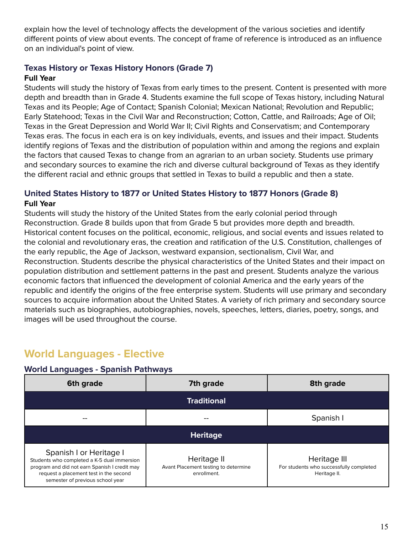explain how the level of technology affects the development of the various societies and identify different points of view about events. The concept of frame of reference is introduced as an influence on an individual's point of view.

#### <span id="page-15-0"></span>**Texas History or Texas History Honors (Grade 7) Full Year**

Students will study the history of Texas from early times to the present. Content is presented with more depth and breadth than in Grade 4. Students examine the full scope of Texas history, including Natural Texas and its People; Age of Contact; Spanish Colonial; Mexican National; Revolution and Republic; Early Statehood; Texas in the Civil War and Reconstruction; Cotton, Cattle, and Railroads; Age of Oil; Texas in the Great Depression and World War II; Civil Rights and Conservatism; and Contemporary Texas eras. The focus in each era is on key individuals, events, and issues and their impact. Students identify regions of Texas and the distribution of population within and among the regions and explain the factors that caused Texas to change from an agrarian to an urban society. Students use primary and secondary sources to examine the rich and diverse cultural background of Texas as they identify the different racial and ethnic groups that settled in Texas to build a republic and then a state.

### <span id="page-15-1"></span>**United States History to 1877 or United States History to 1877 Honors (Grade 8) Full Year**

Students will study the history of the United States from the early colonial period through Reconstruction. Grade 8 builds upon that from Grade 5 but provides more depth and breadth. Historical content focuses on the political, economic, religious, and social events and issues related to the colonial and revolutionary eras, the creation and ratification of the U.S. Constitution, challenges of the early republic, the Age of Jackson, westward expansion, sectionalism, Civil War, and Reconstruction. Students describe the physical characteristics of the United States and their impact on population distribution and settlement patterns in the past and present. Students analyze the various economic factors that influenced the development of colonial America and the early years of the republic and identify the origins of the free enterprise system. Students will use primary and secondary sources to acquire information about the United States. A variety of rich primary and secondary source materials such as biographies, autobiographies, novels, speeches, letters, diaries, poetry, songs, and images will be used throughout the course.

# <span id="page-15-2"></span>**World Languages - Elective**

#### <span id="page-15-3"></span>**World Languages - Spanish Pathways**

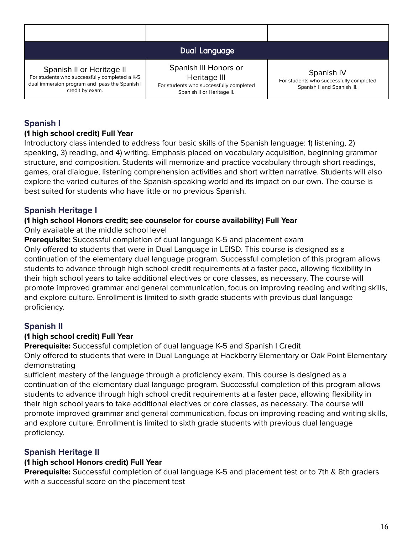#### Dual Language

Spanish II or Heritage II

For students who successfully completed a K-5 dual immersion program and pass the Spanish I credit by exam.

Spanish III Honors or Heritage III For students who successfully completed Spanish II or Heritage II.

Spanish IV For students who successfully completed Spanish II and Spanish III.

# <span id="page-16-0"></span>**Spanish I**

#### **(1 high school credit) Full Year**

Introductory class intended to address four basic skills of the Spanish language: 1) listening, 2) speaking, 3) reading, and 4) writing. Emphasis placed on vocabulary acquisition, beginning grammar structure, and composition. Students will memorize and practice vocabulary through short readings, games, oral dialogue, listening comprehension activities and short written narrative. Students will also explore the varied cultures of the Spanish-speaking world and its impact on our own. The course is best suited for students who have little or no previous Spanish.

# <span id="page-16-1"></span>**Spanish Heritage I**

#### **(1 high school Honors credit; see counselor for course availability) Full Year**

Only available at the middle school level

**Prerequisite:** Successful completion of dual language K-5 and placement exam Only offered to students that were in Dual Language in LEISD. This course is designed as a continuation of the elementary dual language program. Successful completion of this program allows students to advance through high school credit requirements at a faster pace, allowing flexibility in their high school years to take additional electives or core classes, as necessary. The course will promote improved grammar and general communication, focus on improving reading and writing skills, and explore culture. Enrollment is limited to sixth grade students with previous dual language proficiency.

# <span id="page-16-2"></span>**Spanish II**

#### **(1 high school credit) Full Year**

**Prerequisite:** Successful completion of dual language K-5 and Spanish I Credit Only offered to students that were in Dual Language at Hackberry Elementary or Oak Point Elementary demonstrating

sufficient mastery of the language through a proficiency exam. This course is designed as a continuation of the elementary dual language program. Successful completion of this program allows students to advance through high school credit requirements at a faster pace, allowing flexibility in their high school years to take additional electives or core classes, as necessary. The course will promote improved grammar and general communication, focus on improving reading and writing skills, and explore culture. Enrollment is limited to sixth grade students with previous dual language proficiency.

# <span id="page-16-3"></span>**Spanish Heritage II**

#### **(1 high school Honors credit) Full Year**

**Prerequisite:** Successful completion of dual language K-5 and placement test or to 7th & 8th graders with a successful score on the placement test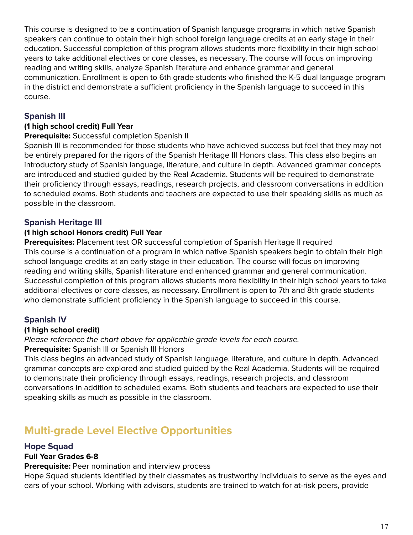This course is designed to be a continuation of Spanish language programs in which native Spanish speakers can continue to obtain their high school foreign language credits at an early stage in their education. Successful completion of this program allows students more flexibility in their high school years to take additional electives or core classes, as necessary. The course will focus on improving reading and writing skills, analyze Spanish literature and enhance grammar and general communication. Enrollment is open to 6th grade students who finished the K-5 dual language program in the district and demonstrate a sufficient proficiency in the Spanish language to succeed in this course.

#### <span id="page-17-0"></span>**Spanish III**

#### **(1 high school credit) Full Year**

#### **Prerequisite:** Successful completion Spanish II

Spanish III is recommended for those students who have achieved success but feel that they may not be entirely prepared for the rigors of the Spanish Heritage III Honors class. This class also begins an introductory study of Spanish language, literature, and culture in depth. Advanced grammar concepts are introduced and studied guided by the Real Academia. Students will be required to demonstrate their proficiency through essays, readings, research projects, and classroom conversations in addition to scheduled exams. Both students and teachers are expected to use their speaking skills as much as possible in the classroom.

#### <span id="page-17-1"></span>**Spanish Heritage III**

#### **(1 high school Honors credit) Full Year**

**Prerequisites:** Placement test OR successful completion of Spanish Heritage II required This course is a continuation of a program in which native Spanish speakers begin to obtain their high school language credits at an early stage in their education. The course will focus on improving reading and writing skills, Spanish literature and enhanced grammar and general communication. Successful completion of this program allows students more flexibility in their high school years to take additional electives or core classes, as necessary. Enrollment is open to 7th and 8th grade students who demonstrate sufficient proficiency in the Spanish language to succeed in this course.

#### <span id="page-17-2"></span>**Spanish IV**

#### **(1 high school credit)**

Please reference the chart above for applicable grade levels for each course.

**Prerequisite:** Spanish III or Spanish III Honors

This class begins an advanced study of Spanish language, literature, and culture in depth. Advanced grammar concepts are explored and studied guided by the Real Academia. Students will be required to demonstrate their proficiency through essays, readings, research projects, and classroom conversations in addition to scheduled exams. Both students and teachers are expected to use their speaking skills as much as possible in the classroom.

# <span id="page-17-3"></span>**Multi-grade Level Elective Opportunities**

#### <span id="page-17-4"></span>**Hope Squad**

#### **Full Year Grades 6-8**

**Prerequisite:** Peer nomination and interview process

Hope Squad students identified by their classmates as trustworthy individuals to serve as the eyes and ears of your school. Working with advisors, students are trained to watch for at-risk peers, provide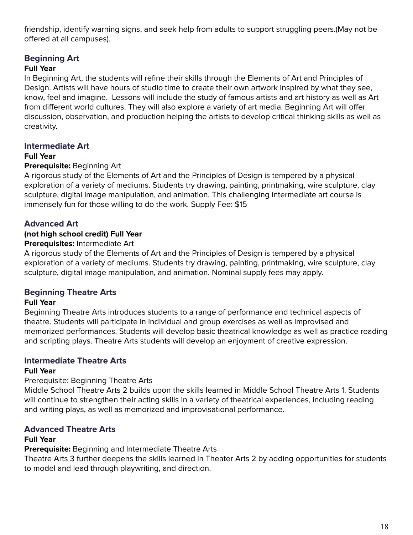friendship, identify warning signs, and seek help from adults to support struggling peers.(May not be offered at all campuses).

# <span id="page-18-0"></span>**Beginning Art**

#### **Full Year**

In Beginning Art, the students will refine their skills through the Elements of Art and Principles of Design. Artists will have hours of studio time to create their own artwork inspired by what they see, know, feel and imagine. Lessons will include the study of famous artists and art history as well as Art from different world cultures. They will also explore a variety of art media. Beginning Art will offer discussion, observation, and production helping the artists to develop critical thinking skills as well as creativity.

#### <span id="page-18-1"></span>**Intermediate Art**

#### **Full Year**

#### **Prerequisite:** Beginning Art

A rigorous study of the Elements of Art and the Principles of Design is tempered by a physical exploration of a variety of mediums. Students try drawing, painting, printmaking, wire sculpture, clay sculpture, digital image manipulation, and animation. This challenging intermediate art course is immensely fun for those willing to do the work. Supply Fee: \$15

#### <span id="page-18-2"></span>**Advanced Art**

#### **(not high school credit) Full Year**

#### **Prerequisites:** Intermediate Art

A rigorous study of the Elements of Art and the Principles of Design is tempered by a physical exploration of a variety of mediums. Students try drawing, painting, printmaking, wire sculpture, clay sculpture, digital image manipulation, and animation. Nominal supply fees may apply.

#### <span id="page-18-3"></span>**Beginning Theatre Arts**

#### **Full Year**

Beginning Theatre Arts introduces students to a range of performance and technical aspects of theatre. Students will participate in individual and group exercises as well as improvised and memorized performances. Students will develop basic theatrical knowledge as well as practice reading and scripting plays. Theatre Arts students will develop an enjoyment of creative expression.

#### <span id="page-18-4"></span>**Intermediate Theatre Arts**

#### **Full Year**

#### Prerequisite: Beginning Theatre Arts

Middle School Theatre Arts 2 builds upon the skills learned in Middle School Theatre Arts 1. Students will continue to strengthen their acting skills in a variety of theatrical experiences, including reading and writing plays, as well as memorized and improvisational performance.

#### <span id="page-18-5"></span>**Advanced Theatre Arts**

#### **Full Year**

#### **Prerequisite:** Beginning and Intermediate Theatre Arts

Theatre Arts 3 further deepens the skills learned in Theater Arts 2 by adding opportunities for students to model and lead through playwriting, and direction.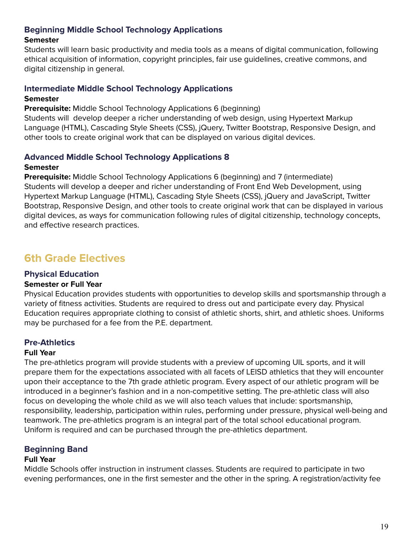### <span id="page-19-0"></span>**Beginning Middle School Technology Applications**

#### **Semester**

Students will learn basic productivity and media tools as a means of digital communication, following ethical acquisition of information, copyright principles, fair use guidelines, creative commons, and digital citizenship in general.

#### <span id="page-19-1"></span>**Intermediate Middle School Technology Applications Semester**

**Prerequisite:** Middle School Technology Applications 6 (beginning)

Students will develop deeper a richer understanding of web design, using Hypertext Markup Language (HTML), Cascading Style Sheets (CSS), jQuery, Twitter Bootstrap, Responsive Design, and other tools to create original work that can be displayed on various digital devices.

### <span id="page-19-2"></span>**Advanced Middle School Technology Applications 8**

#### **Semester**

**Prerequisite:** Middle School Technology Applications 6 (beginning) and 7 (intermediate) Students will develop a deeper and richer understanding of Front End Web Development, using Hypertext Markup Language (HTML), Cascading Style Sheets (CSS), jQuery and JavaScript, Twitter Bootstrap, Responsive Design, and other tools to create original work that can be displayed in various digital devices, as ways for communication following rules of digital citizenship, technology concepts, and effective research practices.

# <span id="page-19-3"></span>**6th Grade Electives**

# <span id="page-19-4"></span>**Physical Education**

#### **Semester or Full Year**

Physical Education provides students with opportunities to develop skills and sportsmanship through a variety of fitness activities. Students are required to dress out and participate every day. Physical Education requires appropriate clothing to consist of athletic shorts, shirt, and athletic shoes. Uniforms may be purchased for a fee from the P.E. department.

# <span id="page-19-5"></span>**Pre-Athletics**

#### **Full Year**

The pre-athletics program will provide students with a preview of upcoming UIL sports, and it will prepare them for the expectations associated with all facets of LEISD athletics that they will encounter upon their acceptance to the 7th grade athletic program. Every aspect of our athletic program will be introduced in a beginner's fashion and in a non-competitive setting. The pre-athletic class will also focus on developing the whole child as we will also teach values that include: sportsmanship, responsibility, leadership, participation within rules, performing under pressure, physical well-being and teamwork. The pre-athletics program is an integral part of the total school educational program. Uniform is required and can be purchased through the pre-athletics department.

# <span id="page-19-6"></span>**Beginning Band**

#### **Full Year**

Middle Schools offer instruction in instrument classes. Students are required to participate in two evening performances, one in the first semester and the other in the spring. A registration/activity fee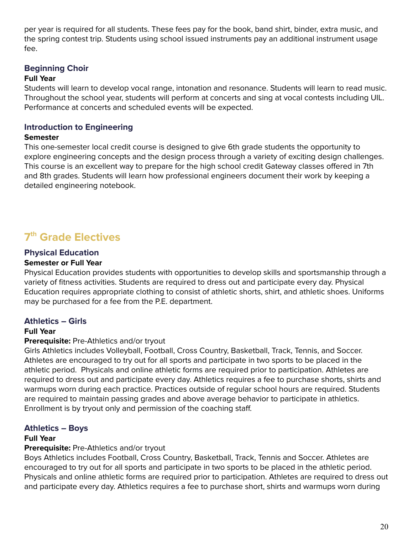per year is required for all students. These fees pay for the book, band shirt, binder, extra music, and the spring contest trip. Students using school issued instruments pay an additional instrument usage fee.

### <span id="page-20-0"></span>**Beginning Choir**

#### **Full Year**

Students will learn to develop vocal range, intonation and resonance. Students will learn to read music. Throughout the school year, students will perform at concerts and sing at vocal contests including UIL. Performance at concerts and scheduled events will be expected.

### <span id="page-20-1"></span>**Introduction to Engineering**

#### **Semester**

This one-semester local credit course is designed to give 6th grade students the opportunity to explore engineering concepts and the design process through a variety of exciting design challenges. This course is an excellent way to prepare for the high school credit Gateway classes offered in 7th and 8th grades. Students will learn how professional engineers document their work by keeping a detailed engineering notebook.

# <span id="page-20-2"></span>**7 th Grade Electives**

#### <span id="page-20-3"></span>**Physical Education**

#### **Semester or Full Year**

Physical Education provides students with opportunities to develop skills and sportsmanship through a variety of fitness activities. Students are required to dress out and participate every day. Physical Education requires appropriate clothing to consist of athletic shorts, shirt, and athletic shoes. Uniforms may be purchased for a fee from the P.E. department.

#### <span id="page-20-4"></span>**Athletics – Girls**

#### **Full Year**

#### **Prerequisite:** Pre-Athletics and/or tryout

Girls Athletics includes Volleyball, Football, Cross Country, Basketball, Track, Tennis, and Soccer. Athletes are encouraged to try out for all sports and participate in two sports to be placed in the athletic period. Physicals and online athletic forms are required prior to participation. Athletes are required to dress out and participate every day. Athletics requires a fee to purchase shorts, shirts and warmups worn during each practice. Practices outside of regular school hours are required. Students are required to maintain passing grades and above average behavior to participate in athletics. Enrollment is by tryout only and permission of the coaching staff.

#### <span id="page-20-5"></span>**Athletics – Boys**

#### **Full Year**

#### **Prerequisite:** Pre-Athletics and/or tryout

Boys Athletics includes Football, Cross Country, Basketball, Track, Tennis and Soccer. Athletes are encouraged to try out for all sports and participate in two sports to be placed in the athletic period. Physicals and online athletic forms are required prior to participation. Athletes are required to dress out and participate every day. Athletics requires a fee to purchase short, shirts and warmups worn during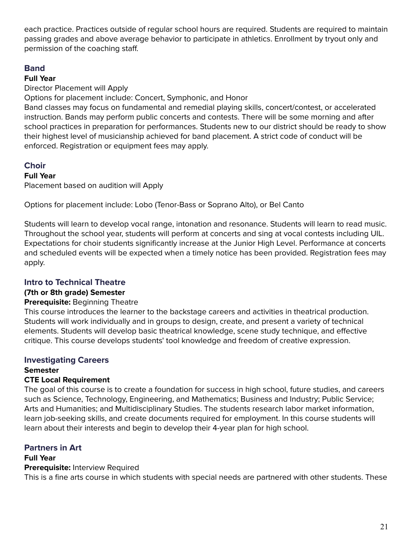each practice. Practices outside of regular school hours are required. Students are required to maintain passing grades and above average behavior to participate in athletics. Enrollment by tryout only and permission of the coaching staff.

# <span id="page-21-0"></span>**Band**

#### **Full Year**

Director Placement will Apply

Options for placement include: Concert, Symphonic, and Honor

Band classes may focus on fundamental and remedial playing skills, concert/contest, or accelerated instruction. Bands may perform public concerts and contests. There will be some morning and after school practices in preparation for performances. Students new to our district should be ready to show their highest level of musicianship achieved for band placement. A strict code of conduct will be enforced. Registration or equipment fees may apply.

# <span id="page-21-1"></span>**Choir**

#### **Full Year**

Placement based on audition will Apply

Options for placement include: Lobo (Tenor-Bass or Soprano Alto), or Bel Canto

Students will learn to develop vocal range, intonation and resonance. Students will learn to read music. Throughout the school year, students will perform at concerts and sing at vocal contests including UIL. Expectations for choir students significantly increase at the Junior High Level. Performance at concerts and scheduled events will be expected when a timely notice has been provided. Registration fees may apply.

# <span id="page-21-2"></span>**Intro to Technical Theatre**

#### **(7th or 8th grade) Semester**

#### **Prerequisite:** Beginning Theatre

This course introduces the learner to the backstage careers and activities in theatrical production. Students will work individually and in groups to design, create, and present a variety of technical elements. Students will develop basic theatrical knowledge, scene study technique, and effective critique. This course develops students' tool knowledge and freedom of creative expression.

# **Investigating Careers**

# **Semester**

#### **CTE Local Requirement**

The goal of this course is to create a foundation for success in high school, future studies, and careers such as Science, Technology, Engineering, and Mathematics; Business and Industry; Public Service; Arts and Humanities; and Multidisciplinary Studies. The students research labor market information, learn job-seeking skills, and create documents required for employment. In this course students will learn about their interests and begin to develop their 4-year plan for high school.

# <span id="page-21-3"></span>**Partners in Art**

#### **Full Year**

#### **Prerequisite:** Interview Required

This is a fine arts course in which students with special needs are partnered with other students. These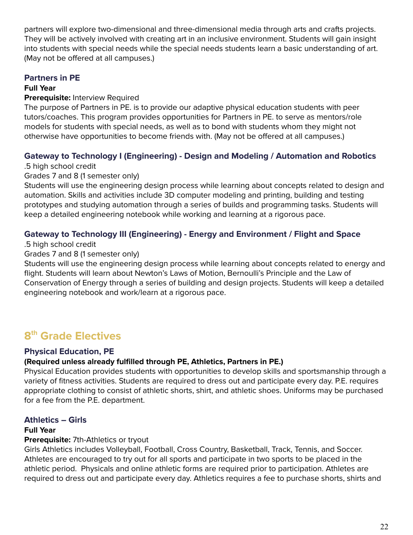partners will explore two-dimensional and three-dimensional media through arts and crafts projects. They will be actively involved with creating art in an inclusive environment. Students will gain insight into students with special needs while the special needs students learn a basic understanding of art. (May not be offered at all campuses.)

# <span id="page-22-0"></span>**Partners in PE**

### **Full Year**

### **Prerequisite:** Interview Required

The purpose of Partners in PE. is to provide our adaptive physical education students with peer tutors/coaches. This program provides opportunities for Partners in PE. to serve as mentors/role models for students with special needs, as well as to bond with students whom they might not otherwise have opportunities to become friends with. (May not be offered at all campuses.)

# <span id="page-22-1"></span>**Gateway to Technology I (Engineering) - Design and Modeling / Automation and Robotics**

.5 high school credit

Grades 7 and 8 (1 semester only)

Students will use the engineering design process while learning about concepts related to design and automation. Skills and activities include 3D computer modeling and printing, building and testing prototypes and studying automation through a series of builds and programming tasks. Students will keep a detailed engineering notebook while working and learning at a rigorous pace.

# <span id="page-22-2"></span>**Gateway to Technology III (Engineering) - Energy and Environment / Flight and Space**

.5 high school credit

Grades 7 and 8 (1 semester only)

Students will use the engineering design process while learning about concepts related to energy and flight. Students will learn about Newton's Laws of Motion, Bernoulli's Principle and the Law of Conservation of Energy through a series of building and design projects. Students will keep a detailed engineering notebook and work/learn at a rigorous pace.

# <span id="page-22-3"></span>**8 th Grade Electives**

# **Physical Education, PE**

# **(Required unless already fulfilled through PE, Athletics, Partners in PE.)**

Physical Education provides students with opportunities to develop skills and sportsmanship through a variety of fitness activities. Students are required to dress out and participate every day. P.E. requires appropriate clothing to consist of athletic shorts, shirt, and athletic shoes. Uniforms may be purchased for a fee from the P.E. department.

# <span id="page-22-4"></span>**Athletics – Girls**

# **Full Year**

#### **Prerequisite:** 7th-Athletics or tryout

Girls Athletics includes Volleyball, Football, Cross Country, Basketball, Track, Tennis, and Soccer. Athletes are encouraged to try out for all sports and participate in two sports to be placed in the athletic period. Physicals and online athletic forms are required prior to participation. Athletes are required to dress out and participate every day. Athletics requires a fee to purchase shorts, shirts and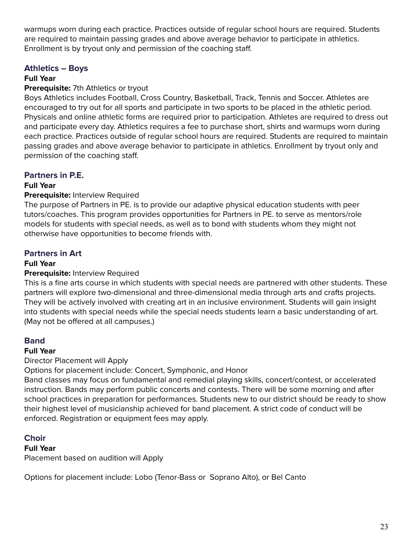warmups worn during each practice. Practices outside of regular school hours are required. Students are required to maintain passing grades and above average behavior to participate in athletics. Enrollment is by tryout only and permission of the coaching staff.

#### <span id="page-23-0"></span>**Athletics – Boys**

### **Full Year**

### **Prerequisite:** 7th Athletics or tryout

Boys Athletics includes Football, Cross Country, Basketball, Track, Tennis and Soccer. Athletes are encouraged to try out for all sports and participate in two sports to be placed in the athletic period. Physicals and online athletic forms are required prior to participation. Athletes are required to dress out and participate every day. Athletics requires a fee to purchase short, shirts and warmups worn during each practice. Practices outside of regular school hours are required. Students are required to maintain passing grades and above average behavior to participate in athletics. Enrollment by tryout only and permission of the coaching staff.

# <span id="page-23-1"></span>**Partners in P.E.**

#### **Full Year**

#### **Prerequisite:** Interview Required

The purpose of Partners in PE. is to provide our adaptive physical education students with peer tutors/coaches. This program provides opportunities for Partners in PE. to serve as mentors/role models for students with special needs, as well as to bond with students whom they might not otherwise have opportunities to become friends with.

# <span id="page-23-2"></span>**Partners in Art**

#### **Full Year**

#### **Prerequisite:** Interview Required

This is a fine arts course in which students with special needs are partnered with other students. These partners will explore two-dimensional and three-dimensional media through arts and crafts projects. They will be actively involved with creating art in an inclusive environment. Students will gain insight into students with special needs while the special needs students learn a basic understanding of art. (May not be offered at all campuses.)

#### <span id="page-23-3"></span>**Band**

#### **Full Year**

Director Placement will Apply

Options for placement include: Concert, Symphonic, and Honor

Band classes may focus on fundamental and remedial playing skills, concert/contest, or accelerated instruction. Bands may perform public concerts and contests. There will be some morning and after school practices in preparation for performances. Students new to our district should be ready to show their highest level of musicianship achieved for band placement. A strict code of conduct will be enforced. Registration or equipment fees may apply.

# <span id="page-23-4"></span>**Choir**

#### **Full Year**

Placement based on audition will Apply

Options for placement include: Lobo (Tenor-Bass or Soprano Alto), or Bel Canto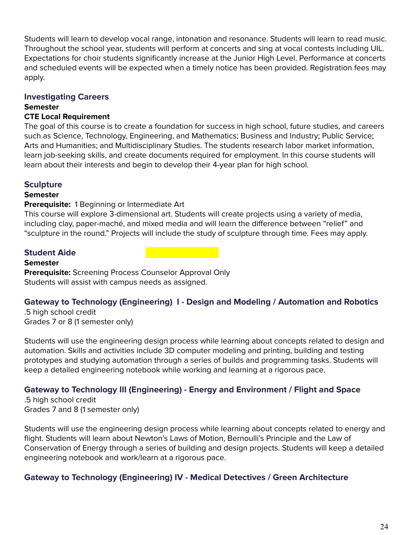Students will learn to develop vocal range, intonation and resonance. Students will learn to read music. Throughout the school year, students will perform at concerts and sing at vocal contests including UIL. Expectations for choir students significantly increase at the Junior High Level. Performance at concerts and scheduled events will be expected when a timely notice has been provided. Registration fees may apply.

#### <span id="page-24-0"></span>**Investigating Careers**

#### **Semester**

#### **CTE Local Requirement**

The goal of this course is to create a foundation for success in high school, future studies, and careers such as Science, Technology, Engineering, and Mathematics; Business and Industry; Public Service; Arts and Humanities; and Multidisciplinary Studies. The students research labor market information, learn job-seeking skills, and create documents required for employment. In this course students will learn about their interests and begin to develop their 4-year plan for high school.

### <span id="page-24-1"></span>**Sculpture**

#### **Semester**

#### **Prerequisite:** 1 Beginning or Intermediate Art

This course will explore 3-dimensional art. Students will create projects using a variety of media, including clay, paper-maché, and mixed media and will learn the difference between "relief" and "sculpture in the round." Projects will include the study of sculpture through time. Fees may apply.

### <span id="page-24-2"></span>**Student Aide**

#### **Semester**

**Prerequisite:** Screening Process Counselor Approval Only Students will assist with campus needs as assigned.

# <span id="page-24-3"></span>**Gateway to Technology (Engineering) I - Design and Modeling / Automation and Robotics**

.5 high school credit Grades 7 or 8 (1 semester only)

Students will use the engineering design process while learning about concepts related to design and automation. Skills and activities include 3D computer modeling and printing, building and testing prototypes and studying automation through a series of builds and programming tasks. Students will keep a detailed engineering notebook while working and learning at a rigorous pace.

# <span id="page-24-4"></span>**Gateway to Technology III (Engineering) - Energy and Environment / Flight and Space**

.5 high school credit Grades 7 and 8 (1 semester only)

Students will use the engineering design process while learning about concepts related to energy and flight. Students will learn about Newton's Laws of Motion, Bernoulli's Principle and the Law of Conservation of Energy through a series of building and design projects. Students will keep a detailed engineering notebook and work/learn at a rigorous pace.

#### <span id="page-24-5"></span>**Gateway to Technology (Engineering) IV - Medical Detectives / Green Architecture**